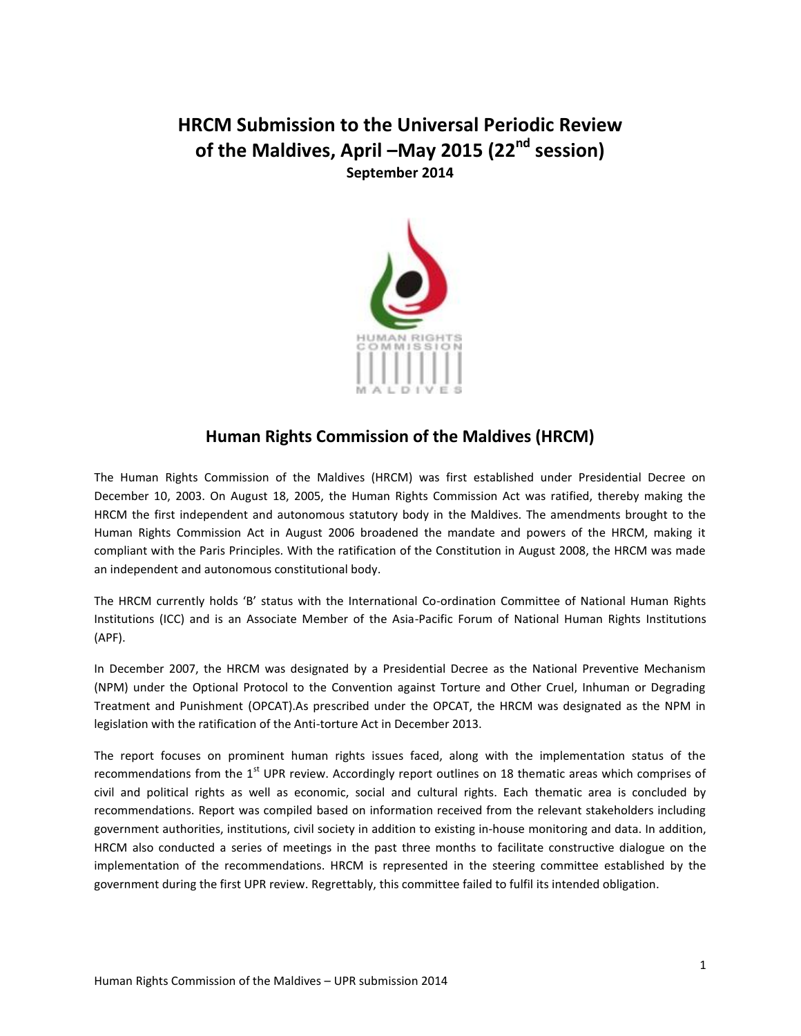## **HRCM Submission to the Universal Periodic Review of the Maldives, April –May 2015 (22nd session) September 2014**



## **Human Rights Commission of the Maldives (HRCM)**

The Human Rights Commission of the Maldives (HRCM) was first established under Presidential Decree on December 10, 2003. On August 18, 2005, the Human Rights Commission Act was ratified, thereby making the HRCM the first independent and autonomous statutory body in the Maldives. The amendments brought to the Human Rights Commission Act in August 2006 broadened the mandate and powers of the HRCM, making it compliant with the Paris Principles. With the ratification of the Constitution in August 2008, the HRCM was made an independent and autonomous constitutional body.

The HRCM currently holds 'B' status with the International Co-ordination Committee of National Human Rights Institutions (ICC) and is an Associate Member of the Asia-Pacific Forum of National Human Rights Institutions (APF).

In December 2007, the HRCM was designated by a Presidential Decree as the National Preventive Mechanism (NPM) under the Optional Protocol to the Convention against Torture and Other Cruel, Inhuman or Degrading Treatment and Punishment (OPCAT).As prescribed under the OPCAT, the HRCM was designated as the NPM in legislation with the ratification of the Anti-torture Act in December 2013.

The report focuses on prominent human rights issues faced, along with the implementation status of the recommendations from the  $1<sup>st</sup>$  UPR review. Accordingly report outlines on 18 thematic areas which comprises of civil and political rights as well as economic, social and cultural rights. Each thematic area is concluded by recommendations. Report was compiled based on information received from the relevant stakeholders including government authorities, institutions, civil society in addition to existing in-house monitoring and data. In addition, HRCM also conducted a series of meetings in the past three months to facilitate constructive dialogue on the implementation of the recommendations. HRCM is represented in the steering committee established by the government during the first UPR review. Regrettably, this committee failed to fulfil its intended obligation.